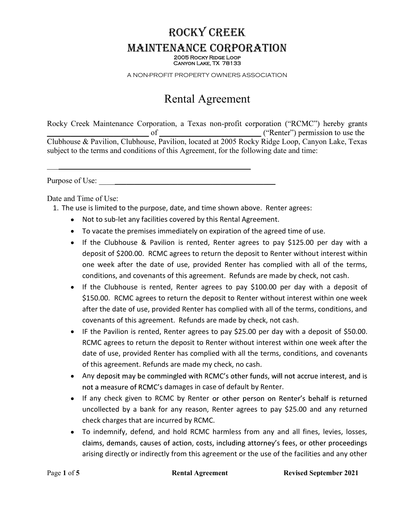## ROCKY CREEK MAINTENANCE CORPORATION 2005 Rocky Ridge Loop Canyon Lake, TX 78133

A NON-PROFIT PROPERTY OWNERS ASSOCIATION

# Rental Agreement

Rocky Creek Maintenance Corporation, a Texas non-profit corporation ("RCMC") hereby grants  $\frac{1}{\text{Clubhouse } \& \text{Pavilion, Clubhouse, Pavilion, located at 2005 Rocky Ridge Loop, Canyon Lake, Texas}}$ subject to the terms and conditions of this Agreement, for the following date and time: \_\_\_\_\_\_\_\_\_\_\_\_\_\_\_\_\_\_\_\_\_\_\_\_\_\_\_\_\_\_\_\_\_\_\_\_\_\_\_\_\_\_\_\_\_\_\_\_\_\_\_\_ Purpose of Use: \_\_\_\_\_\_\_\_\_\_\_\_\_\_\_\_\_\_\_\_\_\_\_\_\_\_\_\_\_\_\_\_\_\_\_\_\_\_\_\_\_\_\_\_\_

Date and Time of Use:

- 1. The use is limited to the purpose, date, and time shown above. Renter agrees:
	- Not to sub-let any facilities covered by this Rental Agreement.
	- To vacate the premises immediately on expiration of the agreed time of use.
	- If the Clubhouse & Pavilion is rented, Renter agrees to pay \$125.00 per day with a deposit of \$200.00. RCMC agrees to return the deposit to Renter without interest within one week after the date of use, provided Renter has complied with all of the terms, conditions, and covenants of this agreement. Refunds are made by check, not cash.
	- If the Clubhouse is rented, Renter agrees to pay \$100.00 per day with a deposit of \$150.00. RCMC agrees to return the deposit to Renter without interest within one week after the date of use, provided Renter has complied with all of the terms, conditions, and covenants of this agreement. Refunds are made by check, not cash.
	- IF the Pavilion is rented, Renter agrees to pay \$25.00 per day with a deposit of \$50.00. RCMC agrees to return the deposit to Renter without interest within one week after the date of use, provided Renter has complied with all the terms, conditions, and covenants of this agreement. Refunds are made my check, no cash.
	- Any deposit may be commingled with RCMC's other funds, will not accrue interest, and is not a measure of RCMC's damages in case of default by Renter.
	- If any check given to RCMC by Renter or other person on Renter's behalf is returned uncollected by a bank for any reason, Renter agrees to pay \$25.00 and any returned check charges that are incurred by RCMC.
	- To indemnify, defend, and hold RCMC harmless from any and all fines, levies, losses, claims, demands, causes of action, costs, including attorney's fees, or other proceedings arising directly or indirectly from this agreement or the use of the facilities and any other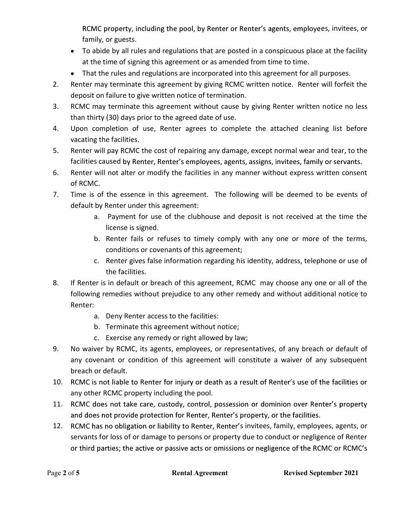RCMC property, including the pool, by Renter or Renter's agents, employees, invitees, or family, or guests.

- To abide by all rules and regulations that are posted in a conspicuous place at the facility at the time of signing this agreement or as amended from time to time.
- That the rules and regulations are incorporated into this agreement for all purposes.
- 2. Renter may terminate this agreement by giving RCMC written notice. Renter will forfeit the deposit on failure to give written notice of termination.
- 3. RCMC may terminate this agreement without cause by giving Renter written notice no less than thirty (30) days prior to the agreed date of use.
- 4. Upon completion of use, Renter agrees to complete the attached cleaning list before vacating the facilities.
- 5. Renter will pay RCMC the cost of repairing any damage, except normal wear and tear, to the facilities caused by Renter, Renter's employees, agents, assigns, invitees, family or servants.
- 6. Renter will not alter or modify the facilities in any manner without express written consent of RCMC.
- 7. Time is of the essence in this agreement. The following will be deemed to be events of default by Renter under this agreement:
	- a. Payment for use of the clubhouse and deposit is not received at the time the license is signed.
	- b. Renter fails or refuses to timely comply with any one or more of the terms, conditions or covenants of this agreement;
	- c. Renter gives false information regarding his identity, address, telephone or use of the facilities.
- 8. If Renter is in default or breach of this agreement, RCMC may choose any one or all of the following remedies without prejudice to any other remedy and without additional notice to Renter:
	- a. Deny Renter access to the facilities:
	- b. Terminate this agreement without notice;
	- c. Exercise any remedy or right allowed by law;
- 9. No waiver by RCMC, its agents, employees, or representatives, of any breach or default of any covenant or condition of this agreement will constitute a waiver of any subsequent breach or default.
- 10. RCMC is not liable to Renter for injury or death as a result of Renter's use of the facilities or any other RCMC property including the pool.
- 11. RCMC does not take care, custody, control, possession or dominion over Renter's property and does not provide protection for Renter, Renter's property, or the facilities.
- 12. RCMC has no obligation or liability to Renter, Renter's invitees, family, employees, agents, or servants for loss of or damage to persons or property due to conduct or negligence of Renter or third parties; the active or passive acts or omissions or negligence of the RCMC or RCMC's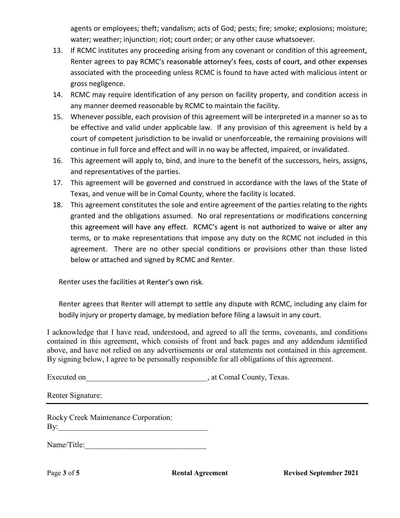water; weather; injunction; riot; court order; or any other cause whatsoever.

- agents or employees; theft; vandalism; acts of God; pests; fire; smoke; explosions; moisture;<br>water; weather; injunction; riot; court order; or any other cause whatsoever.<br>If RCMC institutes any proceeding arising from any 13. If RCMC institutes any proceeding arising from any covenant or condition of this agreement, Renter agrees to pay RCMC's reasonable attorney's fees, costs of court, and other expenses associated with the proceeding unless RCMC is found to have acted with malicious intent or gross negligence.
- 14. RCMC may require identification of any person on facility property, and condition access in any manner deemed reasonable by RCMC to maintain the facility.
- 15. Whenever possible, each provision of this agreement will be interpreted in a manner so as to be effective and valid under applicable law. If any provision of this agreement is held by a court of competent jurisdiction to be invalid or unenforceable, the remaining provisions will continue in full force and effect and will in no way be affected, impaired, or invalidated.
- 16. This agreement will apply to, bind, and inure to the benefit of the successors, heirs, assigns, and representatives of the parties.
- 17. This agreement will be governed and construed in accordance with the laws of the State of Texas, and venue will be in Comal County, where the facility is located.
- 18. This agreement constitutes the sole and entire agreement of the parties relating to the rights granted and the obligations assumed. No oral representations or modifications concerning this agreement will have any effect. RCMC's agent is not authorized to waive or alter any terms, or to make representations that impose any duty on the RCMC not included in this agreement. There are no other special conditions or provisions other than those listed below or attached and signed by RCMC and Renter.

Renter uses the facilities at Renter's own risk.

Renter agrees that Renter will attempt to settle any dispute with RCMC, including any claim for bodily injury or property damage, by mediation before filing a lawsuit in any court.

I acknowledge that I have read, understood, and agreed to all the terms, covenants, and conditions contained in this agreement, which consists of front and back pages and any addendum identified above, and have not relied on any advertisements or oral statements not contained in this agreement. By signing below, I agree to be personally responsible for all obligations of this agreement.

Executed on  $\qquad \qquad$ , at Comal County, Texas.

Renter Signature:

Rocky Creek Maintenance Corporation: By:\_\_\_\_\_\_\_\_\_\_\_\_\_\_\_\_\_\_\_\_\_\_\_\_\_\_\_\_\_\_\_\_\_\_\_\_\_\_

Name/Title: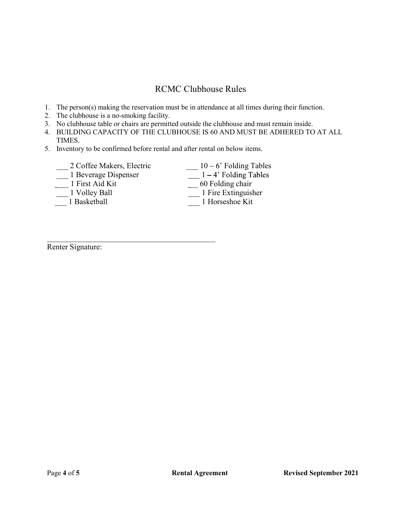## RCMC Clubhouse Rules

- 1. The person(s) making the reservation must be in attendance at all times during their function.
- 2. The clubhouse is a no-smoking facility.
- 3. No clubhouse table or chairs are permitted outside the clubhouse and must remain inside.
- 4. BUILDING CAPACITY OF THE CLUBHOUSE IS 60 AND MUST BE ADHERED TO AT ALL TIMES.
- 5. Inventory to be confirmed before rental and after rental on below items.

| 2 Coffee Makers, Electric | $10 - 6$ ' Folding Tables |
|---------------------------|---------------------------|
| 1 Beverage Dispenser      | $1 - 4$ ' Folding Tables  |
| 1 First Aid Kit           | $60$ Folding chair        |
| 1 Volley Ball             | 1 Fire Extinguisher       |
| 1 Basketball              | 1 Horseshoe Kit           |
| <b>Renter Signature:</b>  |                           |